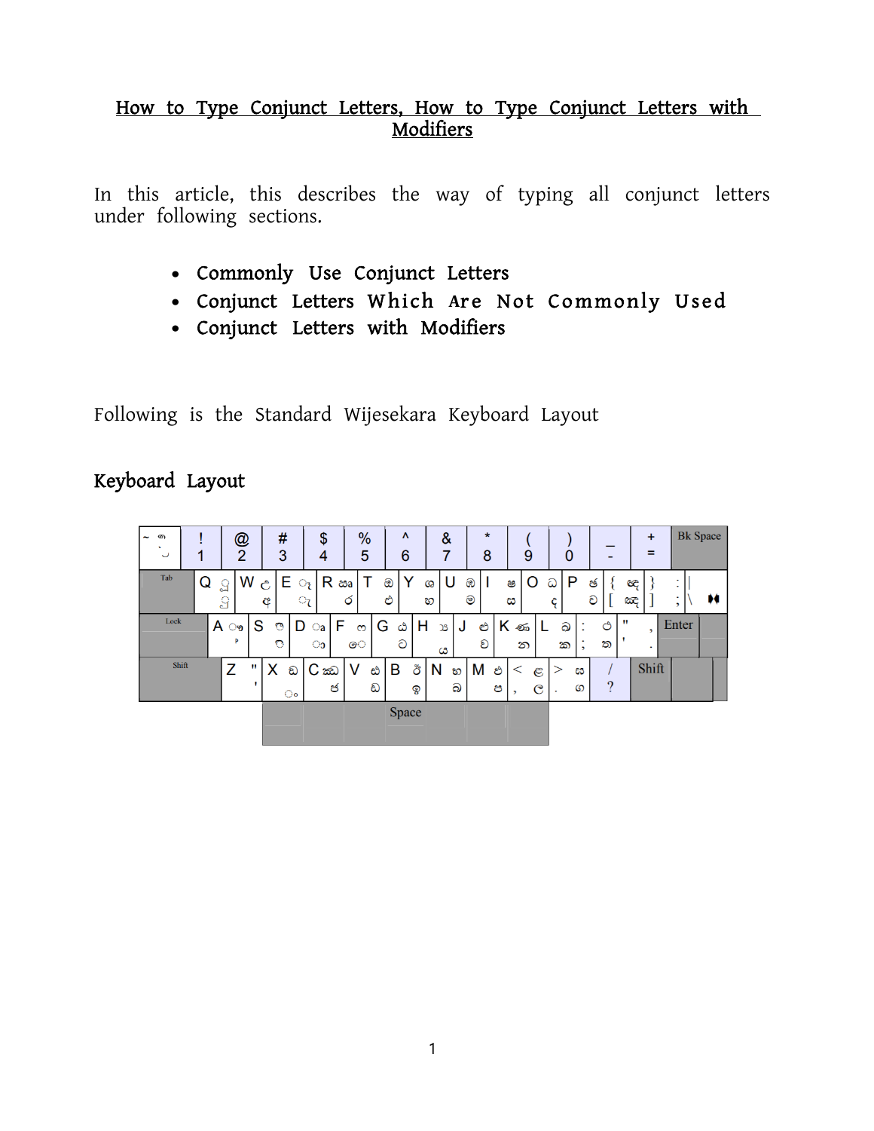#### How to Type Conjunct Letters, How to Type Conjunct Letters with Modifiers

In this article, this describes the way of typing all conjunct letters under following sections.

- Commonly Use Conjunct Letters
- Conjunct Letters Which Are Not Commonly Used
- Conjunct Letters with Modifiers

Following is the Standard Wijesekara Keyboard Layout

### Keyboard Layout

| $\tilde{\phantom{a}}$ | জ<br>$\cdot$<br>$\checkmark$ |       |   |                      | @<br>$\overline{2}$ |    |        | #<br>3       |                 | \$<br>4           |        | %<br>5   |        | Λ<br>6 |         | &<br>7  |        | $\star$<br>8 |   |                   | 9                               |        | $\Omega$ |        |          |              | $+$<br>=            |       | <b>Bk</b> Space |   |
|-----------------------|------------------------------|-------|---|----------------------|---------------------|----|--------|--------------|-----------------|-------------------|--------|----------|--------|--------|---------|---------|--------|--------------|---|-------------------|---------------------------------|--------|----------|--------|----------|--------------|---------------------|-------|-----------------|---|
|                       | Tab                          |       | Q | $\Omega$<br>$\Omega$ |                     | W  | Ĉ<br>ĉ | E.           | $\circ_{\iota}$ | ැ R ඎ             | Ó      |          | ඔ<br>එ | Y      | Ga<br>හ | υ       |        | ඹ<br>ම       |   | ෂ<br>ස            | O                               | ධ<br>Ĉ | P        | ඡ<br>ච |          | ඥ<br>ದಿದೆ    |                     | ,     |                 | м |
|                       | Lock                         |       |   | A                    | ್ರ<br>Þ             | S  | ್<br>o |              | D               | $\circ$ a<br>ാ    | F<br>ෙ | $\infty$ | G      | ۵<br>ට | н       | χS<br>ය | J      | එ<br>ව       |   | $K$ $\infty$<br>න |                                 |        | ඛ<br>ක   |        | ඵ<br>ත   | $\mathbf{H}$ | ,<br>$\blacksquare$ | Enter |                 |   |
|                       |                              | Shift |   | Z                    |                     | ., | х      | ඞ<br>$\circ$ |                 | $C \n\infty$<br>ජ | v      | ඪ<br>ඩ   |        | В      | ඊ<br>ඉ  | N       | හ<br>බ | ∣M ಲಿ        | ප | $\,<\,$<br>,      | $\mathfrak{E}$<br>$\mathcal{C}$ |        | ඝ<br>ග   |        | $\Omega$ |              | Shift               |       |                 |   |
|                       |                              |       |   |                      |                     |    |        |              |                 |                   |        |          |        | Space  |         |         |        |              |   |                   |                                 |        |          |        |          |              |                     |       |                 |   |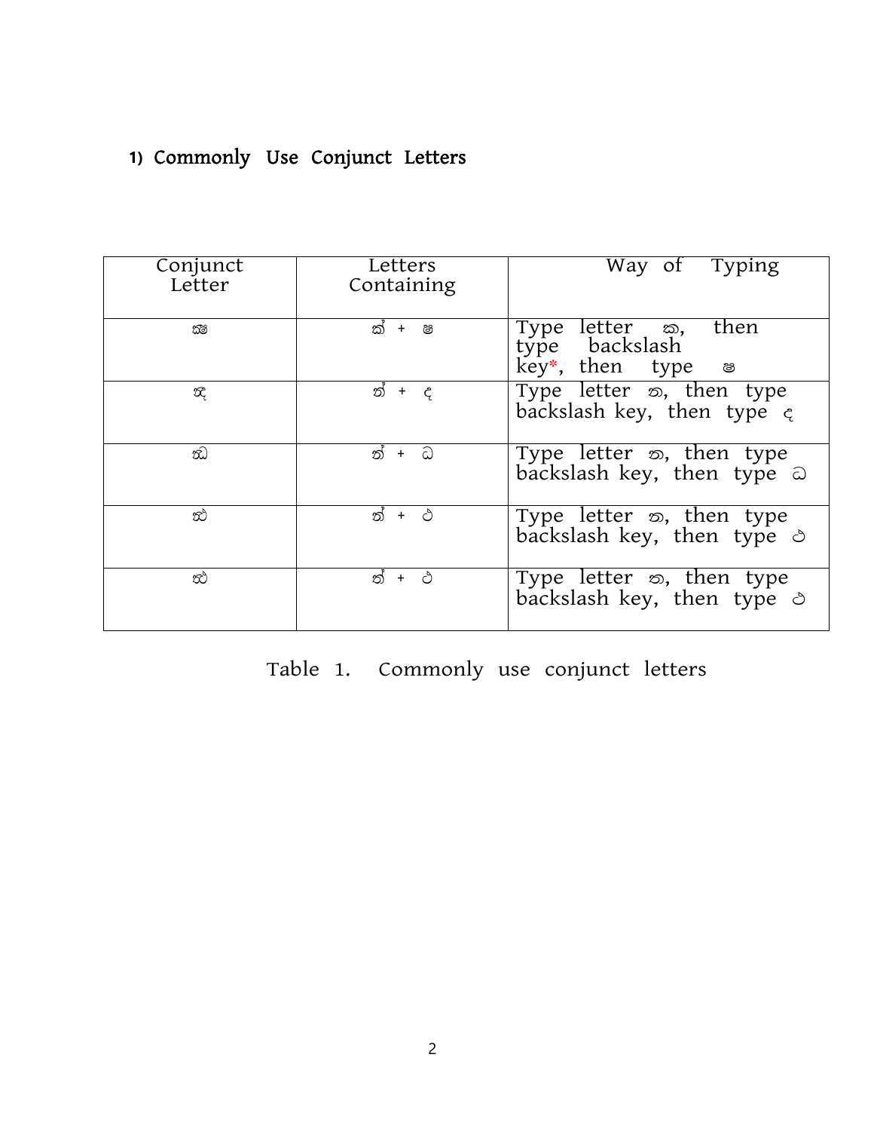## **1)** Commonly Use Conjunct Letters

| Conjunct<br>Letter | Letters<br>Containing | Way of Typing                                                                                |
|--------------------|-----------------------|----------------------------------------------------------------------------------------------|
| කිම                | ක් + ෂ                | Type letter $\overline{\infty}$ ,<br>type backslash<br>then<br>$key^*$ , then type $\otimes$ |
| $\mathcal{R}_t$    | න් + ද                | Type letter $\infty$ , then type<br>backslash key, then type $\epsilon$                      |
| ŵ)                 | න් + ධ                | Type letter $\infty$ , then type<br>backslash key, then type a                               |
| œ.                 | න් + ථ                | Type letter $\infty$ , then type<br>backslash key, then type $\triangle$                     |
| ඣ                  | ත් + ථ                | Type letter $\infty$ , then type<br>backslash key, then type $\triangle$                     |

Table 1. Commonly use conjunct letters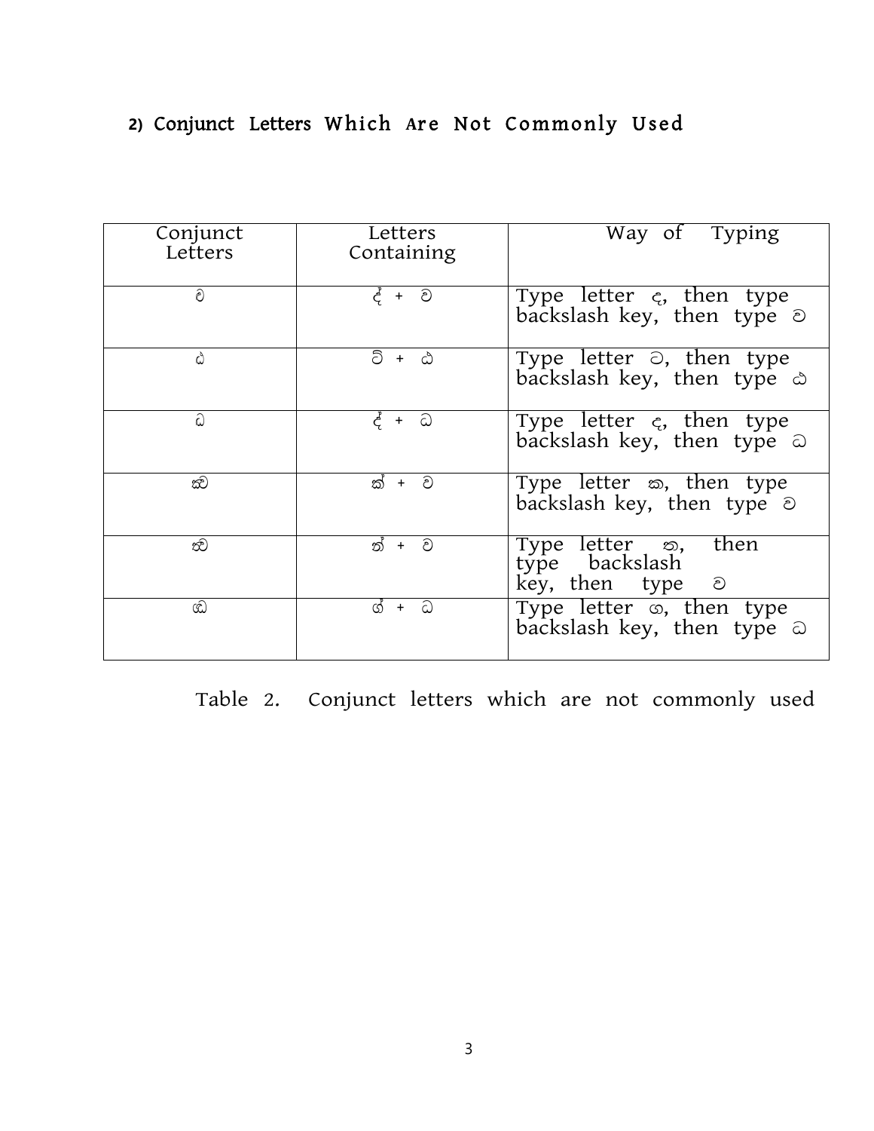## 2) Conjunct Letters Which Are Not Commonly Used

| Conjunct<br>Letters | Letters<br>Containing | Way of Typing                                                           |
|---------------------|-----------------------|-------------------------------------------------------------------------|
| ව                   | $\xi + \partial$      | Type letter $\zeta$ , then type<br>backslash key, then type $\odot$     |
| ۵                   | ට් + ඨ                | Type letter $\odot$ , then type<br>backslash key, then type $\triangle$ |
| ධ                   | ද් + ධ                | Type letter $\epsilon$ , then type<br>backslash key, then type a        |
| ඣ                   | ක් + ව                | Type letter $\infty$ , then type<br>backslash key, then type $\odot$    |
| ති                  | ත් + ව                | Type letter $\infty$ , then<br>type backslash<br>key, then type $\odot$ |
| ඟ                   | + ධ<br>ග්             | Type letter $\infty$ , then type<br>backslash key, then type a          |

Table 2. Conjunct letters which are not commonly used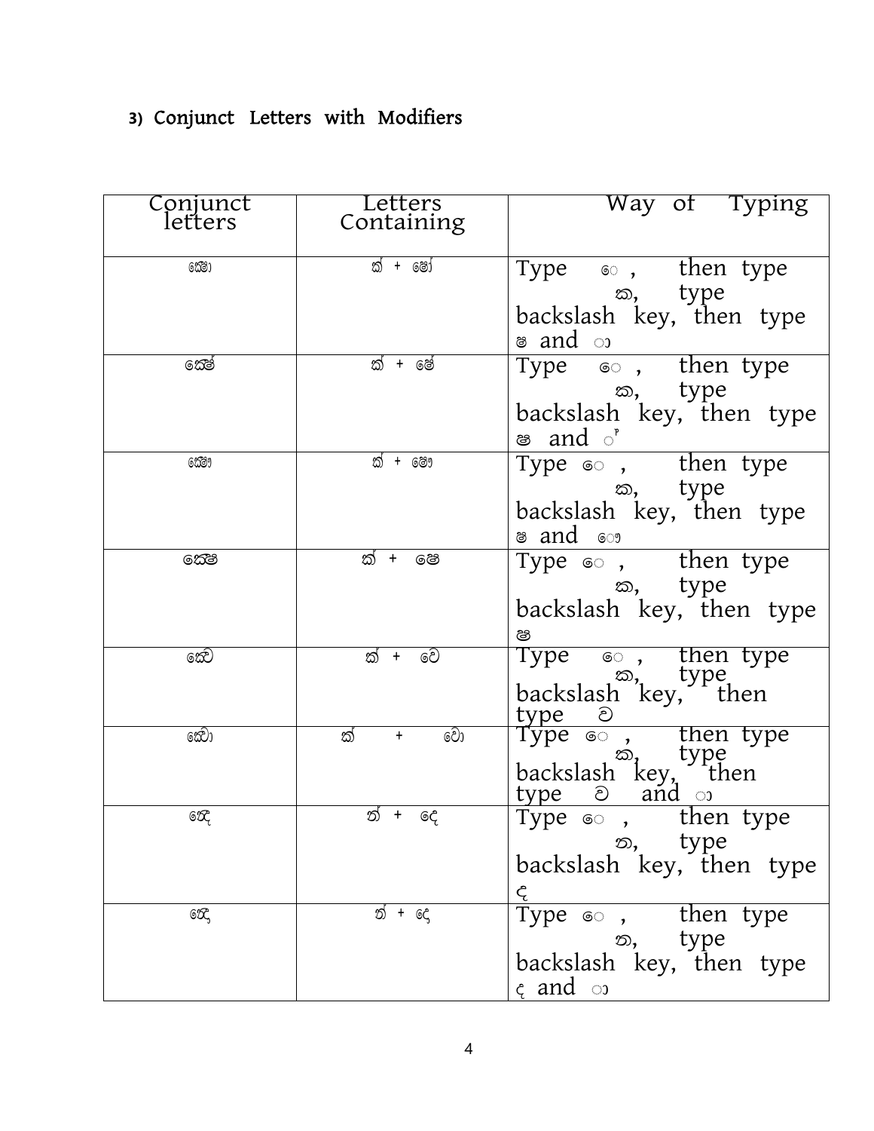# **3)** Conjunct Letters with Modifiers

| Conjunct        | Letters                      | Way of Typing                                        |
|-----------------|------------------------------|------------------------------------------------------|
| letters         | Containing                   |                                                      |
| 623             | ක් + ෂෝ                      |                                                      |
|                 |                              | Type $\bullet$ , then type                           |
|                 |                              | ක, type<br>backslash key, then type                  |
|                 |                              | ෂ and ා                                              |
| කේ              | ක් + ෂේ                      | Type 6 , then type                                   |
|                 |                              | ක, type                                              |
|                 |                              | backslash key, then type                             |
|                 |                              | ෂ and ්                                              |
| 6239            | ක් + ෂෞ                      | Type $\bullet$ , then type                           |
|                 |                              | ක, type                                              |
|                 |                              | backslash key, then type                             |
|                 |                              | ෂ and ෞ                                              |
| 6කිම            | ක් + පෙ                      | Type $\infty$ , then type                            |
|                 |                              | ක, type                                              |
|                 |                              | backslash key, then type                             |
| කෙට             | ක් + වෙ                      | ෂ<br>Type 6 , then type                              |
|                 |                              |                                                      |
|                 |                              | $\sum_{\substack{\infty, \\ \text{backslash}}}$ type |
| ක්)ෙ            | වො<br>ක්<br>$\boldsymbol{+}$ | type $\odot$<br>Type $\circledcirc$ , then type      |
|                 |                              |                                                      |
|                 |                              |                                                      |
|                 |                              | backslash key, then                                  |
| 6Œ              | ත් + දෙ                      | Type $\circledcirc$ , then type                      |
|                 |                              | ත, type<br>backslash key, then type                  |
|                 |                              | ද                                                    |
| 60 <sub>5</sub> | න් + දෙ                      | Type $\infty$ , then type                            |
|                 |                              | ත, type                                              |
|                 |                              | backslash key, then type                             |
|                 |                              | $\zeta$ and $\infty$                                 |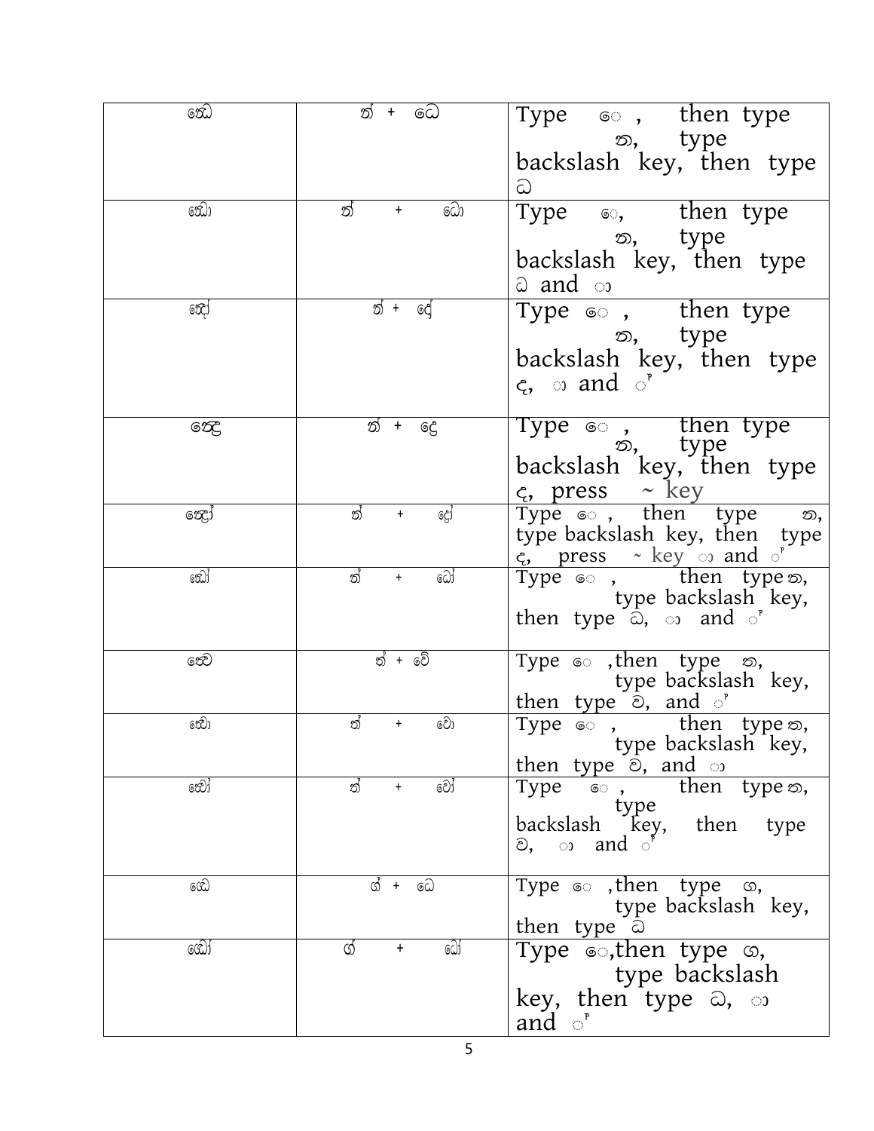| ඣෙ        | ධෙ<br>ත්<br>$+$        | Type $\infty$ , then type<br>ත, type<br>backslash key, then type                                                                                              |
|-----------|------------------------|---------------------------------------------------------------------------------------------------------------------------------------------------------------|
|           |                        | ධ                                                                                                                                                             |
| ෩         | ධො<br>ත්<br>$\ddagger$ | Type <sup>®</sup> , then type<br>න, type<br>backslash key, then type<br>ධ and ා                                                                               |
| 60G       | ත් +<br>දෙ             | Type $\circledcirc$ , then type<br>ත, type<br>backslash key, then type<br>$\zeta$ , and $\zeta$ <sup>,</sup>                                                  |
| නෙ        | ත් +<br>දෙ             | Type $\circ$ , then type<br>$\circ$ , type<br>backslash key, then type<br>$\frac{c}{\text{Type } \text{C}}$ , press $\sim$ key<br>Type $\text{C}$ , then type |
| සෙු       | ත්<br>දෝ<br>$\ddagger$ | ත,<br>type backslash key, then type<br>c, press ~ key o and o'                                                                                                |
| ඣෝ        | ධෝ<br>ත්<br>$+$        | Type $\epsilon$ , then type $\infty$ ,<br>type backslash key,<br>then type $\hat{\omega}$ , $\hat{\omega}$ and $\hat{\omega}$                                 |
| නෙ        | න් + වේ                | Type $\infty$ , then type $\infty$ ,<br>type backslash key,<br>then type $\odot$ , and $\circ$                                                                |
| නෙිා      | වො<br>ත්<br>$+$        | Type $\infty$ , then type $\infty$ ,<br>type backslash key,<br>then type $\odot$ , and $\odot$                                                                |
| නේා්      | වෝ<br>ත්<br>$^{+}$     | then type $\infty$ ,<br>Type T<br>ෙ ,<br>type<br>backslash key, then<br>type<br>ව, ා and <u>ා</u>                                                             |
| ඟෙ        | ග් + ධෙ                | Type $\circ$ , then type $\circ$ ,<br>type backslash key,<br>then type $\odot$                                                                                |
| <u>යෝ</u> | ධෝ<br>ග්<br>$\ddag$    | Type .,then type $\infty$ ,<br>type backslash<br>key, then type a, o<br>and $\circ$                                                                           |